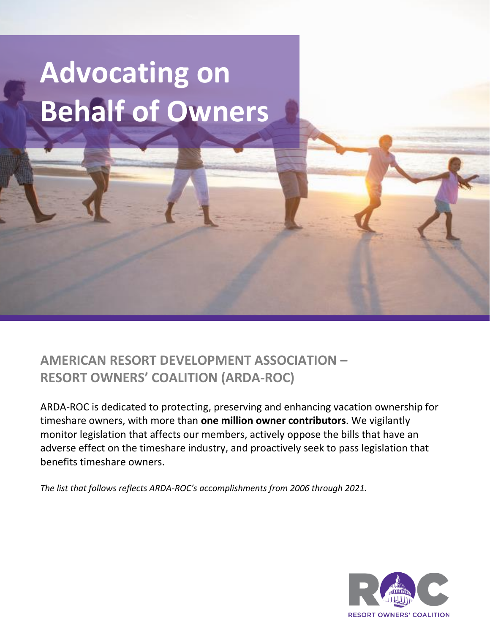## **Advocating on Behalf of Owners**

**AMERICAN RESORT DEVELOPMENT ASSOCIATION – RESORT OWNERS' COALITION (ARDA-ROC)**

ARDA-ROC is dedicated to protecting, preserving and enhancing vacation ownership for timeshare owners, with more than **one million owner contributors**. We vigilantly monitor legislation that affects our members, actively oppose the bills that have an adverse effect on the timeshare industry, and proactively seek to pass legislation that benefits timeshare owners.

*The list that follows reflects ARDA-ROC's accomplishments from 2006 through 2021.*

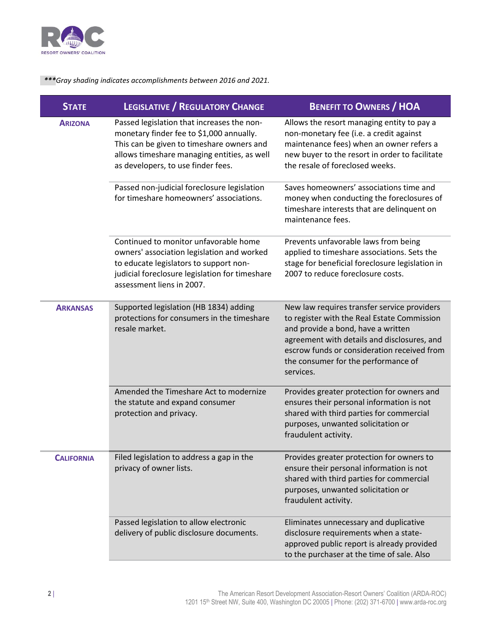

 *\*\*\*Gray shading indicates accomplishments between 2016 and 2021.*

| <b>STATE</b>      | <b>LEGISLATIVE / REGULATORY CHANGE</b>                                                                                                                                                                                   | <b>BENEFIT TO OWNERS / HOA</b>                                                                                                                                                                                                                                                     |
|-------------------|--------------------------------------------------------------------------------------------------------------------------------------------------------------------------------------------------------------------------|------------------------------------------------------------------------------------------------------------------------------------------------------------------------------------------------------------------------------------------------------------------------------------|
| <b>ARIZONA</b>    | Passed legislation that increases the non-<br>monetary finder fee to \$1,000 annually.<br>This can be given to timeshare owners and<br>allows timeshare managing entities, as well<br>as developers, to use finder fees. | Allows the resort managing entity to pay a<br>non-monetary fee (i.e. a credit against<br>maintenance fees) when an owner refers a<br>new buyer to the resort in order to facilitate<br>the resale of foreclosed weeks.                                                             |
|                   | Passed non-judicial foreclosure legislation<br>for timeshare homeowners' associations.                                                                                                                                   | Saves homeowners' associations time and<br>money when conducting the foreclosures of<br>timeshare interests that are delinquent on<br>maintenance fees.                                                                                                                            |
|                   | Continued to monitor unfavorable home<br>owners' association legislation and worked<br>to educate legislators to support non-<br>judicial foreclosure legislation for timeshare<br>assessment liens in 2007.             | Prevents unfavorable laws from being<br>applied to timeshare associations. Sets the<br>stage for beneficial foreclosure legislation in<br>2007 to reduce foreclosure costs.                                                                                                        |
| <b>ARKANSAS</b>   | Supported legislation (HB 1834) adding<br>protections for consumers in the timeshare<br>resale market.                                                                                                                   | New law requires transfer service providers<br>to register with the Real Estate Commission<br>and provide a bond, have a written<br>agreement with details and disclosures, and<br>escrow funds or consideration received from<br>the consumer for the performance of<br>services. |
|                   | Amended the Timeshare Act to modernize<br>the statute and expand consumer<br>protection and privacy.                                                                                                                     | Provides greater protection for owners and<br>ensures their personal information is not<br>shared with third parties for commercial<br>purposes, unwanted solicitation or<br>fraudulent activity.                                                                                  |
| <b>CALIFORNIA</b> | Filed legislation to address a gap in the<br>privacy of owner lists.                                                                                                                                                     | Provides greater protection for owners to<br>ensure their personal information is not<br>shared with third parties for commercial<br>purposes, unwanted solicitation or<br>fraudulent activity.                                                                                    |
|                   | Passed legislation to allow electronic<br>delivery of public disclosure documents.                                                                                                                                       | Eliminates unnecessary and duplicative<br>disclosure requirements when a state-<br>approved public report is already provided<br>to the purchaser at the time of sale. Also                                                                                                        |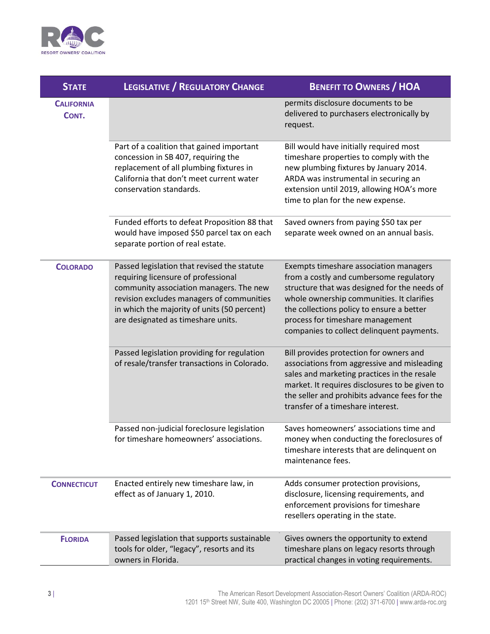

| <b>STATE</b>               | <b>LEGISLATIVE / REGULATORY CHANGE</b>                                                                                                                                                                                                                          | <b>BENEFIT TO OWNERS / HOA</b>                                                                                                                                                                                                                                                                               |
|----------------------------|-----------------------------------------------------------------------------------------------------------------------------------------------------------------------------------------------------------------------------------------------------------------|--------------------------------------------------------------------------------------------------------------------------------------------------------------------------------------------------------------------------------------------------------------------------------------------------------------|
| <b>CALIFORNIA</b><br>CONT. |                                                                                                                                                                                                                                                                 | permits disclosure documents to be<br>delivered to purchasers electronically by<br>request.                                                                                                                                                                                                                  |
|                            | Part of a coalition that gained important<br>concession in SB 407, requiring the<br>replacement of all plumbing fixtures in<br>California that don't meet current water<br>conservation standards.                                                              | Bill would have initially required most<br>timeshare properties to comply with the<br>new plumbing fixtures by January 2014.<br>ARDA was instrumental in securing an<br>extension until 2019, allowing HOA's more<br>time to plan for the new expense.                                                       |
|                            | Funded efforts to defeat Proposition 88 that<br>would have imposed \$50 parcel tax on each<br>separate portion of real estate.                                                                                                                                  | Saved owners from paying \$50 tax per<br>separate week owned on an annual basis.                                                                                                                                                                                                                             |
| <b>COLORADO</b>            | Passed legislation that revised the statute<br>requiring licensure of professional<br>community association managers. The new<br>revision excludes managers of communities<br>in which the majority of units (50 percent)<br>are designated as timeshare units. | Exempts timeshare association managers<br>from a costly and cumbersome regulatory<br>structure that was designed for the needs of<br>whole ownership communities. It clarifies<br>the collections policy to ensure a better<br>process for timeshare management<br>companies to collect delinquent payments. |
|                            | Passed legislation providing for regulation<br>of resale/transfer transactions in Colorado.                                                                                                                                                                     | Bill provides protection for owners and<br>associations from aggressive and misleading<br>sales and marketing practices in the resale<br>market. It requires disclosures to be given to<br>the seller and prohibits advance fees for the<br>transfer of a timeshare interest.                                |
|                            | Passed non-judicial foreclosure legislation<br>for timeshare homeowners' associations.                                                                                                                                                                          | Saves homeowners' associations time and<br>money when conducting the foreclosures of<br>timeshare interests that are delinquent on<br>maintenance fees.                                                                                                                                                      |
| <b>CONNECTICUT</b>         | Enacted entirely new timeshare law, in<br>effect as of January 1, 2010.                                                                                                                                                                                         | Adds consumer protection provisions,<br>disclosure, licensing requirements, and<br>enforcement provisions for timeshare<br>resellers operating in the state.                                                                                                                                                 |
| <b>FLORIDA</b>             | Passed legislation that supports sustainable<br>tools for older, "legacy", resorts and its<br>owners in Florida.                                                                                                                                                | Gives owners the opportunity to extend<br>timeshare plans on legacy resorts through<br>practical changes in voting requirements.                                                                                                                                                                             |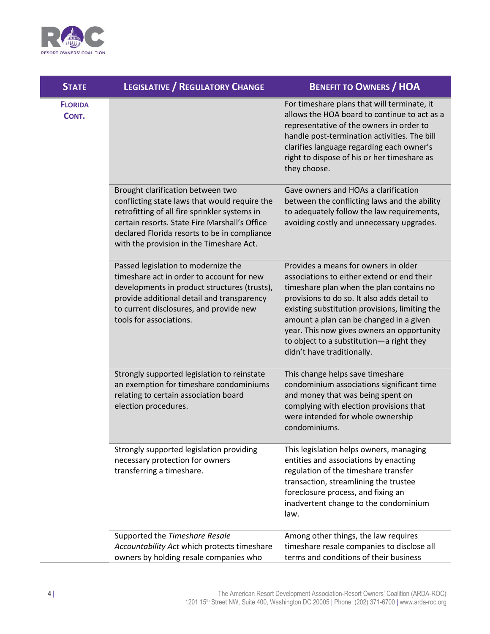

| <b>STATE</b>            | <b>LEGISLATIVE / REGULATORY CHANGE</b>                                                                                                                                                                                                                                           | <b>BENEFIT TO OWNERS / HOA</b>                                                                                                                                                                                                                                                                                                                                                                     |
|-------------------------|----------------------------------------------------------------------------------------------------------------------------------------------------------------------------------------------------------------------------------------------------------------------------------|----------------------------------------------------------------------------------------------------------------------------------------------------------------------------------------------------------------------------------------------------------------------------------------------------------------------------------------------------------------------------------------------------|
| <b>FLORIDA</b><br>CONT. |                                                                                                                                                                                                                                                                                  | For timeshare plans that will terminate, it<br>allows the HOA board to continue to act as a<br>representative of the owners in order to<br>handle post-termination activities. The bill<br>clarifies language regarding each owner's<br>right to dispose of his or her timeshare as<br>they choose.                                                                                                |
|                         | Brought clarification between two<br>conflicting state laws that would require the<br>retrofitting of all fire sprinkler systems in<br>certain resorts. State Fire Marshall's Office<br>declared Florida resorts to be in compliance<br>with the provision in the Timeshare Act. | Gave owners and HOAs a clarification<br>between the conflicting laws and the ability<br>to adequately follow the law requirements,<br>avoiding costly and unnecessary upgrades.                                                                                                                                                                                                                    |
|                         | Passed legislation to modernize the<br>timeshare act in order to account for new<br>developments in product structures (trusts),<br>provide additional detail and transparency<br>to current disclosures, and provide new<br>tools for associations.                             | Provides a means for owners in older<br>associations to either extend or end their<br>timeshare plan when the plan contains no<br>provisions to do so. It also adds detail to<br>existing substitution provisions, limiting the<br>amount a plan can be changed in a given<br>year. This now gives owners an opportunity<br>to object to a substitution-a right they<br>didn't have traditionally. |
|                         | Strongly supported legislation to reinstate<br>an exemption for timeshare condominiums<br>relating to certain association board<br>election procedures.                                                                                                                          | This change helps save timeshare<br>condominium associations significant time<br>and money that was being spent on<br>complying with election provisions that<br>were intended for whole ownership<br>condominiums.                                                                                                                                                                                |
|                         | Strongly supported legislation providing<br>necessary protection for owners<br>transferring a timeshare.                                                                                                                                                                         | This legislation helps owners, managing<br>entities and associations by enacting<br>regulation of the timeshare transfer<br>transaction, streamlining the trustee<br>foreclosure process, and fixing an<br>inadvertent change to the condominium<br>law.                                                                                                                                           |
|                         | Supported the Timeshare Resale<br>Accountability Act which protects timeshare<br>owners by holding resale companies who                                                                                                                                                          | Among other things, the law requires<br>timeshare resale companies to disclose all<br>terms and conditions of their business                                                                                                                                                                                                                                                                       |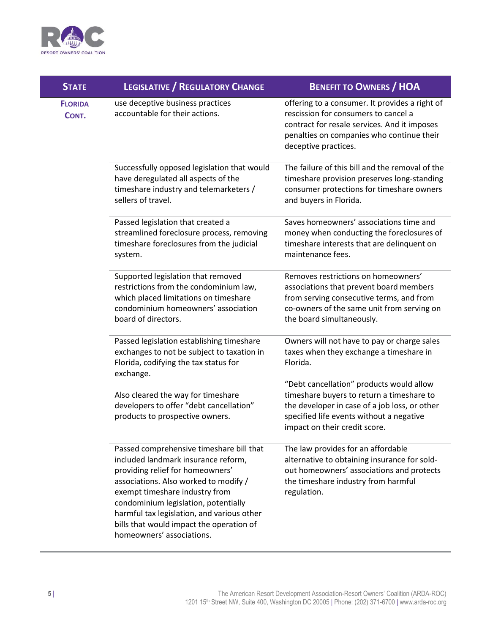

| <b>STATE</b>            | <b>LEGISLATIVE / REGULATORY CHANGE</b>                                                                                                                                                                                                                                                                                                                        | <b>BENEFIT TO OWNERS / HOA</b>                                                                                                                                                                                      |
|-------------------------|---------------------------------------------------------------------------------------------------------------------------------------------------------------------------------------------------------------------------------------------------------------------------------------------------------------------------------------------------------------|---------------------------------------------------------------------------------------------------------------------------------------------------------------------------------------------------------------------|
| <b>FLORIDA</b><br>CONT. | use deceptive business practices<br>accountable for their actions.                                                                                                                                                                                                                                                                                            | offering to a consumer. It provides a right of<br>rescission for consumers to cancel a<br>contract for resale services. And it imposes<br>penalties on companies who continue their<br>deceptive practices.         |
|                         | Successfully opposed legislation that would<br>have deregulated all aspects of the<br>timeshare industry and telemarketers /<br>sellers of travel.                                                                                                                                                                                                            | The failure of this bill and the removal of the<br>timeshare provision preserves long-standing<br>consumer protections for timeshare owners<br>and buyers in Florida.                                               |
|                         | Passed legislation that created a<br>streamlined foreclosure process, removing<br>timeshare foreclosures from the judicial<br>system.                                                                                                                                                                                                                         | Saves homeowners' associations time and<br>money when conducting the foreclosures of<br>timeshare interests that are delinquent on<br>maintenance fees.                                                             |
|                         | Supported legislation that removed<br>restrictions from the condominium law,<br>which placed limitations on timeshare<br>condominium homeowners' association<br>board of directors.                                                                                                                                                                           | Removes restrictions on homeowners'<br>associations that prevent board members<br>from serving consecutive terms, and from<br>co-owners of the same unit from serving on<br>the board simultaneously.               |
|                         | Passed legislation establishing timeshare<br>exchanges to not be subject to taxation in<br>Florida, codifying the tax status for<br>exchange.                                                                                                                                                                                                                 | Owners will not have to pay or charge sales<br>taxes when they exchange a timeshare in<br>Florida.                                                                                                                  |
|                         | Also cleared the way for timeshare<br>developers to offer "debt cancellation"<br>products to prospective owners.                                                                                                                                                                                                                                              | "Debt cancellation" products would allow<br>timeshare buyers to return a timeshare to<br>the developer in case of a job loss, or other<br>specified life events without a negative<br>impact on their credit score. |
|                         | Passed comprehensive timeshare bill that<br>included landmark insurance reform,<br>providing relief for homeowners'<br>associations. Also worked to modify /<br>exempt timeshare industry from<br>condominium legislation, potentially<br>harmful tax legislation, and various other<br>bills that would impact the operation of<br>homeowners' associations. | The law provides for an affordable<br>alternative to obtaining insurance for sold-<br>out homeowners' associations and protects<br>the timeshare industry from harmful<br>regulation.                               |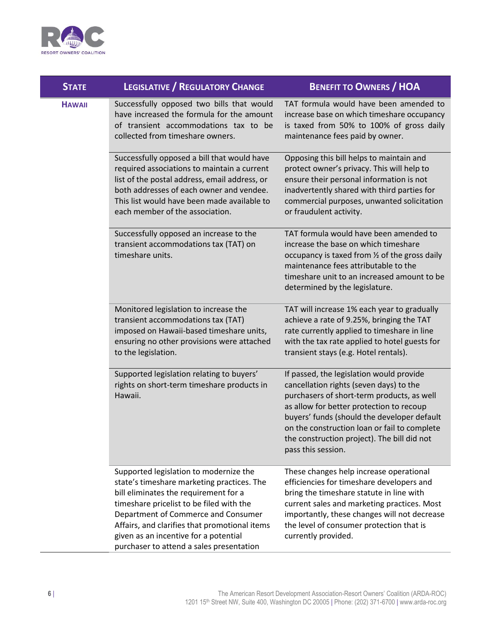

| <b>STATE</b>  | <b>LEGISLATIVE / REGULATORY CHANGE</b>                                                                                                                                                                                                                                                                                                                 | <b>BENEFIT TO OWNERS / HOA</b>                                                                                                                                                                                                                                                                                                                    |
|---------------|--------------------------------------------------------------------------------------------------------------------------------------------------------------------------------------------------------------------------------------------------------------------------------------------------------------------------------------------------------|---------------------------------------------------------------------------------------------------------------------------------------------------------------------------------------------------------------------------------------------------------------------------------------------------------------------------------------------------|
| <b>HAWAII</b> | Successfully opposed two bills that would<br>have increased the formula for the amount<br>of transient accommodations tax to be<br>collected from timeshare owners.                                                                                                                                                                                    | TAT formula would have been amended to<br>increase base on which timeshare occupancy<br>is taxed from 50% to 100% of gross daily<br>maintenance fees paid by owner.                                                                                                                                                                               |
|               | Successfully opposed a bill that would have<br>required associations to maintain a current<br>list of the postal address, email address, or<br>both addresses of each owner and vendee.<br>This list would have been made available to<br>each member of the association.                                                                              | Opposing this bill helps to maintain and<br>protect owner's privacy. This will help to<br>ensure their personal information is not<br>inadvertently shared with third parties for<br>commercial purposes, unwanted solicitation<br>or fraudulent activity.                                                                                        |
|               | Successfully opposed an increase to the<br>transient accommodations tax (TAT) on<br>timeshare units.                                                                                                                                                                                                                                                   | TAT formula would have been amended to<br>increase the base on which timeshare<br>occupancy is taxed from 1/2 of the gross daily<br>maintenance fees attributable to the<br>timeshare unit to an increased amount to be<br>determined by the legislature.                                                                                         |
|               | Monitored legislation to increase the<br>transient accommodations tax (TAT)<br>imposed on Hawaii-based timeshare units,<br>ensuring no other provisions were attached<br>to the legislation.                                                                                                                                                           | TAT will increase 1% each year to gradually<br>achieve a rate of 9.25%, bringing the TAT<br>rate currently applied to timeshare in line<br>with the tax rate applied to hotel guests for<br>transient stays (e.g. Hotel rentals).                                                                                                                 |
|               | Supported legislation relating to buyers'<br>rights on short-term timeshare products in<br>Hawaii.                                                                                                                                                                                                                                                     | If passed, the legislation would provide<br>cancellation rights (seven days) to the<br>purchasers of short-term products, as well<br>as allow for better protection to recoup<br>buyers' funds (should the developer default<br>on the construction loan or fail to complete<br>the construction project). The bill did not<br>pass this session. |
|               | Supported legislation to modernize the<br>state's timeshare marketing practices. The<br>bill eliminates the requirement for a<br>timeshare pricelist to be filed with the<br>Department of Commerce and Consumer<br>Affairs, and clarifies that promotional items<br>given as an incentive for a potential<br>purchaser to attend a sales presentation | These changes help increase operational<br>efficiencies for timeshare developers and<br>bring the timeshare statute in line with<br>current sales and marketing practices. Most<br>importantly, these changes will not decrease<br>the level of consumer protection that is<br>currently provided.                                                |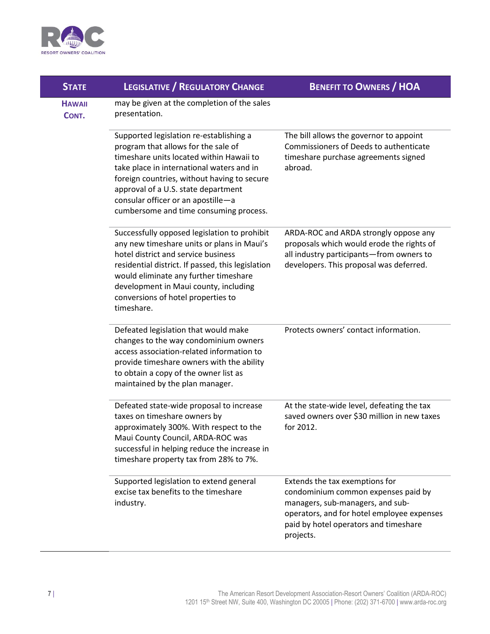

| <b>STATE</b>           | <b>LEGISLATIVE / REGULATORY CHANGE</b>                                                                                                                                                                                                                                                                                                        | <b>BENEFIT TO OWNERS / HOA</b>                                                                                                                                                                                |
|------------------------|-----------------------------------------------------------------------------------------------------------------------------------------------------------------------------------------------------------------------------------------------------------------------------------------------------------------------------------------------|---------------------------------------------------------------------------------------------------------------------------------------------------------------------------------------------------------------|
| <b>HAWAII</b><br>CONT. | may be given at the completion of the sales<br>presentation.                                                                                                                                                                                                                                                                                  |                                                                                                                                                                                                               |
|                        | Supported legislation re-establishing a<br>program that allows for the sale of<br>timeshare units located within Hawaii to<br>take place in international waters and in<br>foreign countries, without having to secure<br>approval of a U.S. state department<br>consular officer or an apostille-a<br>cumbersome and time consuming process. | The bill allows the governor to appoint<br>Commissioners of Deeds to authenticate<br>timeshare purchase agreements signed<br>abroad.                                                                          |
|                        | Successfully opposed legislation to prohibit<br>any new timeshare units or plans in Maui's<br>hotel district and service business<br>residential district. If passed, this legislation<br>would eliminate any further timeshare<br>development in Maui county, including<br>conversions of hotel properties to<br>timeshare.                  | ARDA-ROC and ARDA strongly oppose any<br>proposals which would erode the rights of<br>all industry participants-from owners to<br>developers. This proposal was deferred.                                     |
|                        | Defeated legislation that would make<br>changes to the way condominium owners<br>access association-related information to<br>provide timeshare owners with the ability<br>to obtain a copy of the owner list as<br>maintained by the plan manager.                                                                                           | Protects owners' contact information.                                                                                                                                                                         |
|                        | Defeated state-wide proposal to increase<br>taxes on timeshare owners by<br>approximately 300%. With respect to the<br>Maui County Council, ARDA-ROC was<br>successful in helping reduce the increase in<br>timeshare property tax from 28% to 7%.                                                                                            | At the state-wide level, defeating the tax<br>saved owners over \$30 million in new taxes<br>for 2012.                                                                                                        |
|                        | Supported legislation to extend general<br>excise tax benefits to the timeshare<br>industry.                                                                                                                                                                                                                                                  | Extends the tax exemptions for<br>condominium common expenses paid by<br>managers, sub-managers, and sub-<br>operators, and for hotel employee expenses<br>paid by hotel operators and timeshare<br>projects. |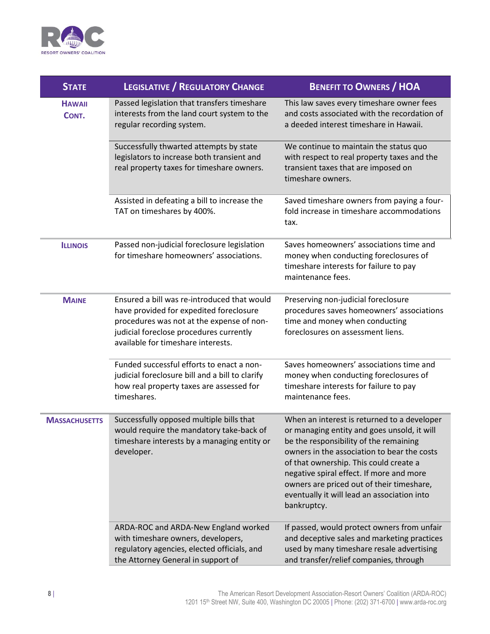

| <b>STATE</b>           | <b>LEGISLATIVE / REGULATORY CHANGE</b>                                                                                                                                                                               | <b>BENEFIT TO OWNERS / HOA</b>                                                                                                                                                                                                                                                                                                                                                       |
|------------------------|----------------------------------------------------------------------------------------------------------------------------------------------------------------------------------------------------------------------|--------------------------------------------------------------------------------------------------------------------------------------------------------------------------------------------------------------------------------------------------------------------------------------------------------------------------------------------------------------------------------------|
| <b>HAWAII</b><br>CONT. | Passed legislation that transfers timeshare<br>interests from the land court system to the<br>regular recording system.                                                                                              | This law saves every timeshare owner fees<br>and costs associated with the recordation of<br>a deeded interest timeshare in Hawaii.                                                                                                                                                                                                                                                  |
|                        | Successfully thwarted attempts by state<br>legislators to increase both transient and<br>real property taxes for timeshare owners.                                                                                   | We continue to maintain the status quo<br>with respect to real property taxes and the<br>transient taxes that are imposed on<br>timeshare owners.                                                                                                                                                                                                                                    |
|                        | Assisted in defeating a bill to increase the<br>TAT on timeshares by 400%.                                                                                                                                           | Saved timeshare owners from paying a four-<br>fold increase in timeshare accommodations<br>tax.                                                                                                                                                                                                                                                                                      |
| <b>ILLINOIS</b>        | Passed non-judicial foreclosure legislation<br>for timeshare homeowners' associations.                                                                                                                               | Saves homeowners' associations time and<br>money when conducting foreclosures of<br>timeshare interests for failure to pay<br>maintenance fees.                                                                                                                                                                                                                                      |
| <b>MAINE</b>           | Ensured a bill was re-introduced that would<br>have provided for expedited foreclosure<br>procedures was not at the expense of non-<br>judicial foreclose procedures currently<br>available for timeshare interests. | Preserving non-judicial foreclosure<br>procedures saves homeowners' associations<br>time and money when conducting<br>foreclosures on assessment liens.                                                                                                                                                                                                                              |
|                        | Funded successful efforts to enact a non-<br>judicial foreclosure bill and a bill to clarify<br>how real property taxes are assessed for<br>timeshares.                                                              | Saves homeowners' associations time and<br>money when conducting foreclosures of<br>timeshare interests for failure to pay<br>maintenance fees.                                                                                                                                                                                                                                      |
| <b>MASSACHUSETTS</b>   | Successfully opposed multiple bills that<br>would require the mandatory take-back of<br>timeshare interests by a managing entity or<br>developer.                                                                    | When an interest is returned to a developer<br>or managing entity and goes unsold, it will<br>be the responsibility of the remaining<br>owners in the association to bear the costs<br>of that ownership. This could create a<br>negative spiral effect. If more and more<br>owners are priced out of their timeshare,<br>eventually it will lead an association into<br>bankruptcy. |
|                        | ARDA-ROC and ARDA-New England worked<br>with timeshare owners, developers,<br>regulatory agencies, elected officials, and<br>the Attorney General in support of                                                      | If passed, would protect owners from unfair<br>and deceptive sales and marketing practices<br>used by many timeshare resale advertising<br>and transfer/relief companies, through                                                                                                                                                                                                    |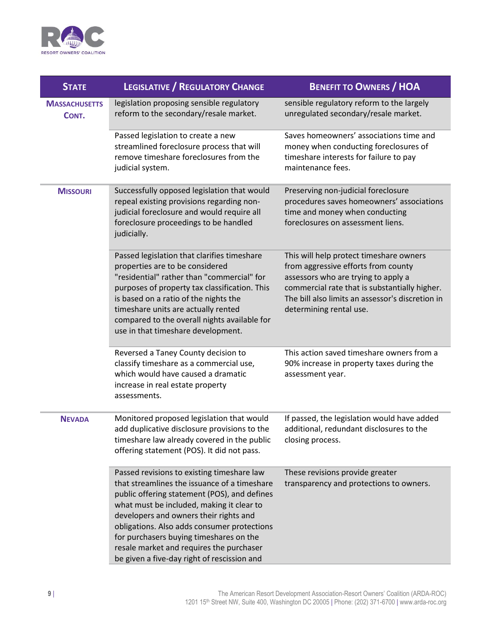

| <b>STATE</b>                  | <b>LEGISLATIVE / REGULATORY CHANGE</b>                                                                                                                                                                                                                                                                                                                                                                                 | <b>BENEFIT TO OWNERS / HOA</b>                                                                                                                                                                                                                        |
|-------------------------------|------------------------------------------------------------------------------------------------------------------------------------------------------------------------------------------------------------------------------------------------------------------------------------------------------------------------------------------------------------------------------------------------------------------------|-------------------------------------------------------------------------------------------------------------------------------------------------------------------------------------------------------------------------------------------------------|
| <b>MASSACHUSETTS</b><br>CONT. | legislation proposing sensible regulatory<br>reform to the secondary/resale market.                                                                                                                                                                                                                                                                                                                                    | sensible regulatory reform to the largely<br>unregulated secondary/resale market.                                                                                                                                                                     |
|                               | Passed legislation to create a new<br>streamlined foreclosure process that will<br>remove timeshare foreclosures from the<br>judicial system.                                                                                                                                                                                                                                                                          | Saves homeowners' associations time and<br>money when conducting foreclosures of<br>timeshare interests for failure to pay<br>maintenance fees.                                                                                                       |
| <b>MISSOURI</b>               | Successfully opposed legislation that would<br>repeal existing provisions regarding non-<br>judicial foreclosure and would require all<br>foreclosure proceedings to be handled<br>judicially.                                                                                                                                                                                                                         | Preserving non-judicial foreclosure<br>procedures saves homeowners' associations<br>time and money when conducting<br>foreclosures on assessment liens.                                                                                               |
|                               | Passed legislation that clarifies timeshare<br>properties are to be considered<br>"residential" rather than "commercial" for<br>purposes of property tax classification. This<br>is based on a ratio of the nights the<br>timeshare units are actually rented<br>compared to the overall nights available for<br>use in that timeshare development.                                                                    | This will help protect timeshare owners<br>from aggressive efforts from county<br>assessors who are trying to apply a<br>commercial rate that is substantially higher.<br>The bill also limits an assessor's discretion in<br>determining rental use. |
|                               | Reversed a Taney County decision to<br>classify timeshare as a commercial use,<br>which would have caused a dramatic<br>increase in real estate property<br>assessments.                                                                                                                                                                                                                                               | This action saved timeshare owners from a<br>90% increase in property taxes during the<br>assessment year.                                                                                                                                            |
| <b>NEVADA</b>                 | Monitored proposed legislation that would<br>add duplicative disclosure provisions to the<br>timeshare law already covered in the public<br>offering statement (POS). It did not pass.                                                                                                                                                                                                                                 | If passed, the legislation would have added<br>additional, redundant disclosures to the<br>closing process.                                                                                                                                           |
|                               | Passed revisions to existing timeshare law<br>that streamlines the issuance of a timeshare<br>public offering statement (POS), and defines<br>what must be included, making it clear to<br>developers and owners their rights and<br>obligations. Also adds consumer protections<br>for purchasers buying timeshares on the<br>resale market and requires the purchaser<br>be given a five-day right of rescission and | These revisions provide greater<br>transparency and protections to owners.                                                                                                                                                                            |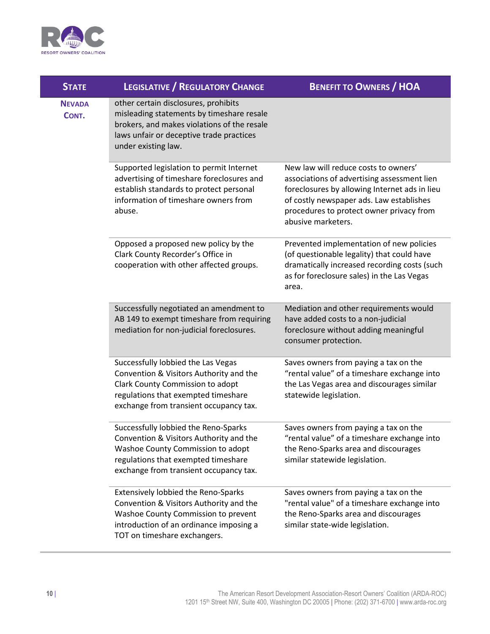

| <b>STATE</b>           | <b>LEGISLATIVE / REGULATORY CHANGE</b>                                                                                                                                                                  | <b>BENEFIT TO OWNERS / HOA</b>                                                                                                                                                                                                                     |
|------------------------|---------------------------------------------------------------------------------------------------------------------------------------------------------------------------------------------------------|----------------------------------------------------------------------------------------------------------------------------------------------------------------------------------------------------------------------------------------------------|
| <b>NEVADA</b><br>CONT. | other certain disclosures, prohibits<br>misleading statements by timeshare resale<br>brokers, and makes violations of the resale<br>laws unfair or deceptive trade practices<br>under existing law.     |                                                                                                                                                                                                                                                    |
|                        | Supported legislation to permit Internet<br>advertising of timeshare foreclosures and<br>establish standards to protect personal<br>information of timeshare owners from<br>abuse.                      | New law will reduce costs to owners'<br>associations of advertising assessment lien<br>foreclosures by allowing Internet ads in lieu<br>of costly newspaper ads. Law establishes<br>procedures to protect owner privacy from<br>abusive marketers. |
|                        | Opposed a proposed new policy by the<br>Clark County Recorder's Office in<br>cooperation with other affected groups.                                                                                    | Prevented implementation of new policies<br>(of questionable legality) that could have<br>dramatically increased recording costs (such<br>as for foreclosure sales) in the Las Vegas<br>area.                                                      |
|                        | Successfully negotiated an amendment to<br>AB 149 to exempt timeshare from requiring<br>mediation for non-judicial foreclosures.                                                                        | Mediation and other requirements would<br>have added costs to a non-judicial<br>foreclosure without adding meaningful<br>consumer protection.                                                                                                      |
|                        | Successfully lobbied the Las Vegas<br>Convention & Visitors Authority and the<br>Clark County Commission to adopt<br>regulations that exempted timeshare<br>exchange from transient occupancy tax.      | Saves owners from paying a tax on the<br>"rental value" of a timeshare exchange into<br>the Las Vegas area and discourages similar<br>statewide legislation.                                                                                       |
|                        | Successfully lobbied the Reno-Sparks<br>Convention & Visitors Authority and the<br>Washoe County Commission to adopt<br>regulations that exempted timeshare<br>exchange from transient occupancy tax.   | Saves owners from paying a tax on the<br>"rental value" of a timeshare exchange into<br>the Reno-Sparks area and discourages<br>similar statewide legislation.                                                                                     |
|                        | <b>Extensively lobbied the Reno-Sparks</b><br>Convention & Visitors Authority and the<br>Washoe County Commission to prevent<br>introduction of an ordinance imposing a<br>TOT on timeshare exchangers. | Saves owners from paying a tax on the<br>"rental value" of a timeshare exchange into<br>the Reno-Sparks area and discourages<br>similar state-wide legislation.                                                                                    |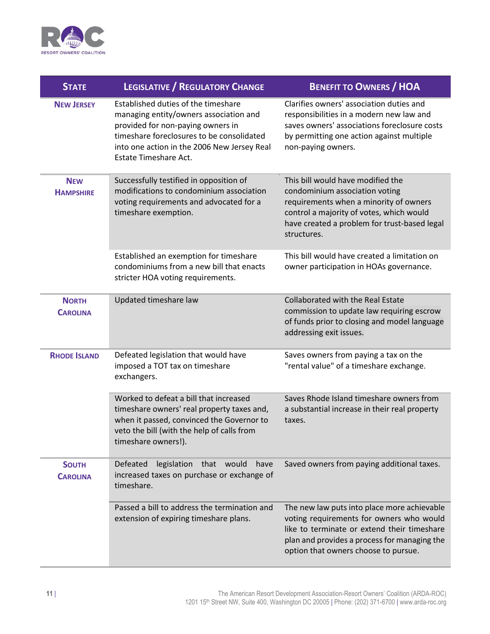

| <b>STATE</b>                    | <b>LEGISLATIVE / REGULATORY CHANGE</b>                                                                                                                                                                                                         | <b>BENEFIT TO OWNERS / HOA</b>                                                                                                                                                                                                 |
|---------------------------------|------------------------------------------------------------------------------------------------------------------------------------------------------------------------------------------------------------------------------------------------|--------------------------------------------------------------------------------------------------------------------------------------------------------------------------------------------------------------------------------|
| <b>NEW JERSEY</b>               | Established duties of the timeshare<br>managing entity/owners association and<br>provided for non-paying owners in<br>timeshare foreclosures to be consolidated<br>into one action in the 2006 New Jersey Real<br><b>Estate Timeshare Act.</b> | Clarifies owners' association duties and<br>responsibilities in a modern new law and<br>saves owners' associations foreclosure costs<br>by permitting one action against multiple<br>non-paying owners.                        |
| <b>NEW</b><br><b>HAMPSHIRE</b>  | Successfully testified in opposition of<br>modifications to condominium association<br>voting requirements and advocated for a<br>timeshare exemption.                                                                                         | This bill would have modified the<br>condominium association voting<br>requirements when a minority of owners<br>control a majority of votes, which would<br>have created a problem for trust-based legal<br>structures.       |
|                                 | Established an exemption for timeshare<br>condominiums from a new bill that enacts<br>stricter HOA voting requirements.                                                                                                                        | This bill would have created a limitation on<br>owner participation in HOAs governance.                                                                                                                                        |
| <b>NORTH</b><br><b>CAROLINA</b> | Updated timeshare law                                                                                                                                                                                                                          | Collaborated with the Real Estate<br>commission to update law requiring escrow<br>of funds prior to closing and model language<br>addressing exit issues.                                                                      |
| <b>RHODE ISLAND</b>             | Defeated legislation that would have<br>imposed a TOT tax on timeshare<br>exchangers.                                                                                                                                                          | Saves owners from paying a tax on the<br>"rental value" of a timeshare exchange.                                                                                                                                               |
|                                 | Worked to defeat a bill that increased<br>timeshare owners' real property taxes and,<br>when it passed, convinced the Governor to<br>veto the bill (with the help of calls from<br>timeshare owners!).                                         | Saves Rhode Island timeshare owners from<br>a substantial increase in their real property<br>taxes.                                                                                                                            |
| <b>SOUTH</b><br><b>CAROLINA</b> | Defeated<br>legislation that would<br>have<br>increased taxes on purchase or exchange of<br>timeshare.                                                                                                                                         | Saved owners from paying additional taxes.                                                                                                                                                                                     |
|                                 | Passed a bill to address the termination and<br>extension of expiring timeshare plans.                                                                                                                                                         | The new law puts into place more achievable<br>voting requirements for owners who would<br>like to terminate or extend their timeshare<br>plan and provides a process for managing the<br>option that owners choose to pursue. |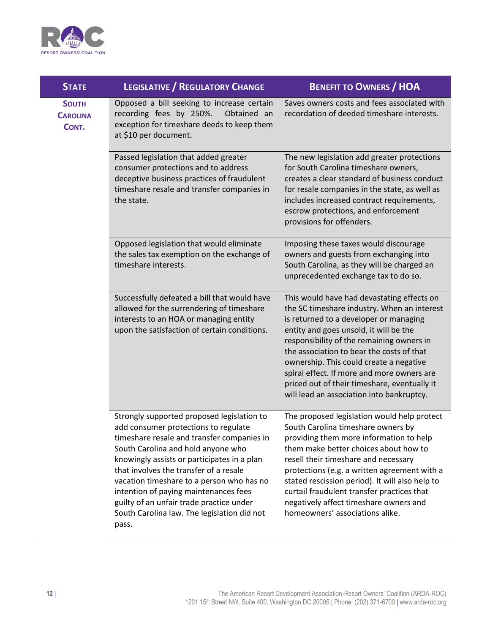

| <b>STATE</b>                             | <b>LEGISLATIVE / REGULATORY CHANGE</b>                                                                                                                                                                                                                                                                                                                                                                                                                    | <b>BENEFIT TO OWNERS / HOA</b>                                                                                                                                                                                                                                                                                                                                                                                                                                |
|------------------------------------------|-----------------------------------------------------------------------------------------------------------------------------------------------------------------------------------------------------------------------------------------------------------------------------------------------------------------------------------------------------------------------------------------------------------------------------------------------------------|---------------------------------------------------------------------------------------------------------------------------------------------------------------------------------------------------------------------------------------------------------------------------------------------------------------------------------------------------------------------------------------------------------------------------------------------------------------|
| <b>SOUTH</b><br><b>CAROLINA</b><br>CONT. | Opposed a bill seeking to increase certain<br>recording fees by 250%.<br>Obtained an<br>exception for timeshare deeds to keep them<br>at \$10 per document.                                                                                                                                                                                                                                                                                               | Saves owners costs and fees associated with<br>recordation of deeded timeshare interests.                                                                                                                                                                                                                                                                                                                                                                     |
|                                          | Passed legislation that added greater<br>consumer protections and to address<br>deceptive business practices of fraudulent<br>timeshare resale and transfer companies in<br>the state.                                                                                                                                                                                                                                                                    | The new legislation add greater protections<br>for South Carolina timeshare owners,<br>creates a clear standard of business conduct<br>for resale companies in the state, as well as<br>includes increased contract requirements,<br>escrow protections, and enforcement<br>provisions for offenders.                                                                                                                                                         |
|                                          | Opposed legislation that would eliminate<br>the sales tax exemption on the exchange of<br>timeshare interests.                                                                                                                                                                                                                                                                                                                                            | Imposing these taxes would discourage<br>owners and guests from exchanging into<br>South Carolina, as they will be charged an<br>unprecedented exchange tax to do so.                                                                                                                                                                                                                                                                                         |
|                                          | Successfully defeated a bill that would have<br>allowed for the surrendering of timeshare<br>interests to an HOA or managing entity<br>upon the satisfaction of certain conditions.                                                                                                                                                                                                                                                                       | This would have had devastating effects on<br>the SC timeshare industry. When an interest<br>is returned to a developer or managing<br>entity and goes unsold, it will be the<br>responsibility of the remaining owners in<br>the association to bear the costs of that<br>ownership. This could create a negative<br>spiral effect. If more and more owners are<br>priced out of their timeshare, eventually it<br>will lead an association into bankruptcy. |
|                                          | Strongly supported proposed legislation to<br>add consumer protections to regulate<br>timeshare resale and transfer companies in<br>South Carolina and hold anyone who<br>knowingly assists or participates in a plan<br>that involves the transfer of a resale<br>vacation timeshare to a person who has no<br>intention of paying maintenances fees<br>guilty of an unfair trade practice under<br>South Carolina law. The legislation did not<br>pass. | The proposed legislation would help protect<br>South Carolina timeshare owners by<br>providing them more information to help<br>them make better choices about how to<br>resell their timeshare and necessary<br>protections (e.g. a written agreement with a<br>stated rescission period). It will also help to<br>curtail fraudulent transfer practices that<br>negatively affect timeshare owners and<br>homeowners' associations alike.                   |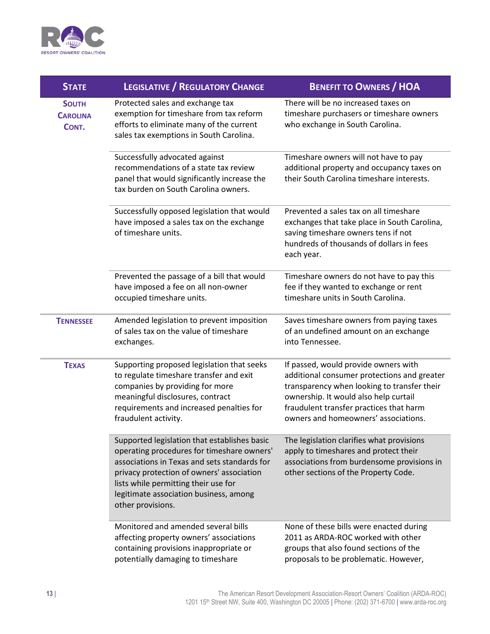

| <b>STATE</b>                             | <b>LEGISLATIVE / REGULATORY CHANGE</b>                                                                                                                                                                                                                                                         | <b>BENEFIT TO OWNERS / HOA</b>                                                                                                                                                                                                                                 |
|------------------------------------------|------------------------------------------------------------------------------------------------------------------------------------------------------------------------------------------------------------------------------------------------------------------------------------------------|----------------------------------------------------------------------------------------------------------------------------------------------------------------------------------------------------------------------------------------------------------------|
| <b>SOUTH</b><br><b>CAROLINA</b><br>CONT. | Protected sales and exchange tax<br>exemption for timeshare from tax reform<br>efforts to eliminate many of the current<br>sales tax exemptions in South Carolina.                                                                                                                             | There will be no increased taxes on<br>timeshare purchasers or timeshare owners<br>who exchange in South Carolina.                                                                                                                                             |
|                                          | Successfully advocated against<br>recommendations of a state tax review<br>panel that would significantly increase the<br>tax burden on South Carolina owners.                                                                                                                                 | Timeshare owners will not have to pay<br>additional property and occupancy taxes on<br>their South Carolina timeshare interests.                                                                                                                               |
|                                          | Successfully opposed legislation that would<br>have imposed a sales tax on the exchange<br>of timeshare units.                                                                                                                                                                                 | Prevented a sales tax on all timeshare<br>exchanges that take place in South Carolina,<br>saving timeshare owners tens if not<br>hundreds of thousands of dollars in fees<br>each year.                                                                        |
|                                          | Prevented the passage of a bill that would<br>have imposed a fee on all non-owner<br>occupied timeshare units.                                                                                                                                                                                 | Timeshare owners do not have to pay this<br>fee if they wanted to exchange or rent<br>timeshare units in South Carolina.                                                                                                                                       |
| <b>TENNESSEE</b>                         | Amended legislation to prevent imposition<br>of sales tax on the value of timeshare<br>exchanges.                                                                                                                                                                                              | Saves timeshare owners from paying taxes<br>of an undefined amount on an exchange<br>into Tennessee.                                                                                                                                                           |
| <b>TEXAS</b>                             | Supporting proposed legislation that seeks<br>to regulate timeshare transfer and exit<br>companies by providing for more<br>meaningful disclosures, contract<br>requirements and increased penalties for<br>fraudulent activity.                                                               | If passed, would provide owners with<br>additional consumer protections and greater<br>transparency when looking to transfer their<br>ownership. It would also help curtail<br>fraudulent transfer practices that harm<br>owners and homeowners' associations. |
|                                          | Supported legislation that establishes basic<br>operating procedures for timeshare owners'<br>associations in Texas and sets standards for<br>privacy protection of owners' association<br>lists while permitting their use for<br>legitimate association business, among<br>other provisions. | The legislation clarifies what provisions<br>apply to timeshares and protect their<br>associations from burdensome provisions in<br>other sections of the Property Code.                                                                                       |
|                                          | Monitored and amended several bills<br>affecting property owners' associations<br>containing provisions inappropriate or<br>potentially damaging to timeshare                                                                                                                                  | None of these bills were enacted during<br>2011 as ARDA-ROC worked with other<br>groups that also found sections of the<br>proposals to be problematic. However,                                                                                               |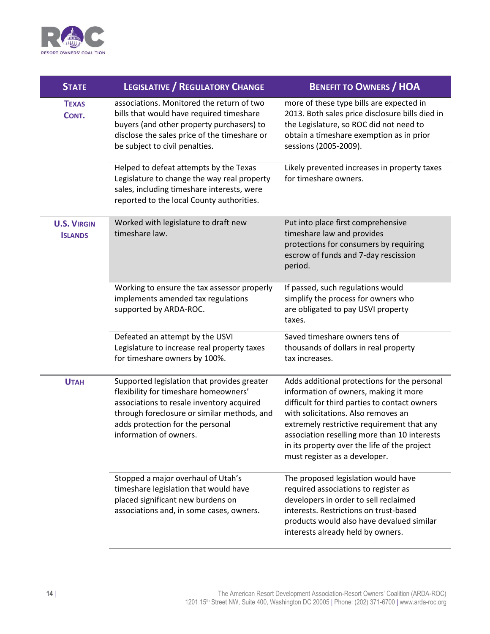

| <b>STATE</b>                         | <b>LEGISLATIVE / REGULATORY CHANGE</b>                                                                                                                                                                                                         | <b>BENEFIT TO OWNERS / HOA</b>                                                                                                                                                                                                                                                                                                                               |
|--------------------------------------|------------------------------------------------------------------------------------------------------------------------------------------------------------------------------------------------------------------------------------------------|--------------------------------------------------------------------------------------------------------------------------------------------------------------------------------------------------------------------------------------------------------------------------------------------------------------------------------------------------------------|
| <b>TEXAS</b><br>CONT.                | associations. Monitored the return of two<br>bills that would have required timeshare<br>buyers (and other property purchasers) to<br>disclose the sales price of the timeshare or<br>be subject to civil penalties.                           | more of these type bills are expected in<br>2013. Both sales price disclosure bills died in<br>the Legislature, so ROC did not need to<br>obtain a timeshare exemption as in prior<br>sessions (2005-2009).                                                                                                                                                  |
|                                      | Helped to defeat attempts by the Texas<br>Legislature to change the way real property<br>sales, including timeshare interests, were<br>reported to the local County authorities.                                                               | Likely prevented increases in property taxes<br>for timeshare owners.                                                                                                                                                                                                                                                                                        |
| <b>U.S. VIRGIN</b><br><b>ISLANDS</b> | Worked with legislature to draft new<br>timeshare law.                                                                                                                                                                                         | Put into place first comprehensive<br>timeshare law and provides<br>protections for consumers by requiring<br>escrow of funds and 7-day rescission<br>period.                                                                                                                                                                                                |
|                                      | Working to ensure the tax assessor properly<br>implements amended tax regulations<br>supported by ARDA-ROC.                                                                                                                                    | If passed, such regulations would<br>simplify the process for owners who<br>are obligated to pay USVI property<br>taxes.                                                                                                                                                                                                                                     |
|                                      | Defeated an attempt by the USVI<br>Legislature to increase real property taxes<br>for timeshare owners by 100%.                                                                                                                                | Saved timeshare owners tens of<br>thousands of dollars in real property<br>tax increases.                                                                                                                                                                                                                                                                    |
| <b>UTAH</b>                          | Supported legislation that provides greater<br>flexibility for timeshare homeowners'<br>associations to resale inventory acquired<br>through foreclosure or similar methods, and<br>adds protection for the personal<br>information of owners. | Adds additional protections for the personal<br>information of owners, making it more<br>difficult for third parties to contact owners<br>with solicitations. Also removes an<br>extremely restrictive requirement that any<br>association reselling more than 10 interests<br>in its property over the life of the project<br>must register as a developer. |
|                                      | Stopped a major overhaul of Utah's<br>timeshare legislation that would have<br>placed significant new burdens on<br>associations and, in some cases, owners.                                                                                   | The proposed legislation would have<br>required associations to register as<br>developers in order to sell reclaimed<br>interests. Restrictions on trust-based<br>products would also have devalued similar<br>interests already held by owners.                                                                                                             |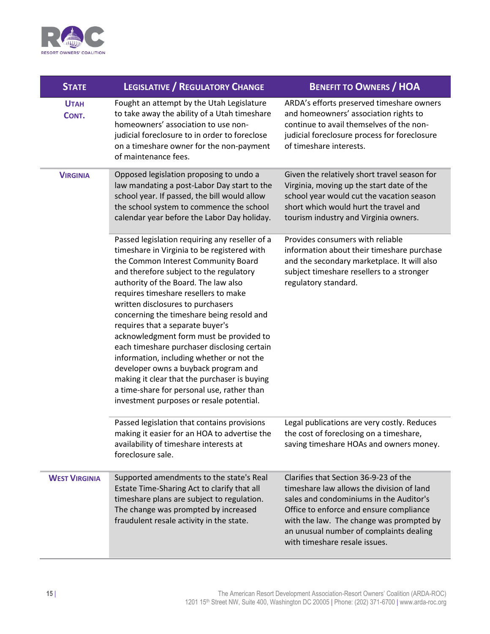

| <b>STATE</b>         | <b>LEGISLATIVE / REGULATORY CHANGE</b>                                                                                                                                                                                                                                                                                                                                                                                                                                                                                                                                                                                                                                                                         | <b>BENEFIT TO OWNERS / HOA</b>                                                                                                                                                                                                                                                                   |
|----------------------|----------------------------------------------------------------------------------------------------------------------------------------------------------------------------------------------------------------------------------------------------------------------------------------------------------------------------------------------------------------------------------------------------------------------------------------------------------------------------------------------------------------------------------------------------------------------------------------------------------------------------------------------------------------------------------------------------------------|--------------------------------------------------------------------------------------------------------------------------------------------------------------------------------------------------------------------------------------------------------------------------------------------------|
| <b>UTAH</b><br>CONT. | Fought an attempt by the Utah Legislature<br>to take away the ability of a Utah timeshare<br>homeowners' association to use non-<br>judicial foreclosure to in order to foreclose<br>on a timeshare owner for the non-payment<br>of maintenance fees.                                                                                                                                                                                                                                                                                                                                                                                                                                                          | ARDA's efforts preserved timeshare owners<br>and homeowners' association rights to<br>continue to avail themselves of the non-<br>judicial foreclosure process for foreclosure<br>of timeshare interests.                                                                                        |
| <b>VIRGINIA</b>      | Opposed legislation proposing to undo a<br>law mandating a post-Labor Day start to the<br>school year. If passed, the bill would allow<br>the school system to commence the school<br>calendar year before the Labor Day holiday.                                                                                                                                                                                                                                                                                                                                                                                                                                                                              | Given the relatively short travel season for<br>Virginia, moving up the start date of the<br>school year would cut the vacation season<br>short which would hurt the travel and<br>tourism industry and Virginia owners.                                                                         |
|                      | Passed legislation requiring any reseller of a<br>timeshare in Virginia to be registered with<br>the Common Interest Community Board<br>and therefore subject to the regulatory<br>authority of the Board. The law also<br>requires timeshare resellers to make<br>written disclosures to purchasers<br>concerning the timeshare being resold and<br>requires that a separate buyer's<br>acknowledgment form must be provided to<br>each timeshare purchaser disclosing certain<br>information, including whether or not the<br>developer owns a buyback program and<br>making it clear that the purchaser is buying<br>a time-share for personal use, rather than<br>investment purposes or resale potential. | Provides consumers with reliable<br>information about their timeshare purchase<br>and the secondary marketplace. It will also<br>subject timeshare resellers to a stronger<br>regulatory standard.                                                                                               |
|                      | Passed legislation that contains provisions<br>making it easier for an HOA to advertise the<br>availability of timeshare interests at<br>foreclosure sale.                                                                                                                                                                                                                                                                                                                                                                                                                                                                                                                                                     | Legal publications are very costly. Reduces<br>the cost of foreclosing on a timeshare,<br>saving timeshare HOAs and owners money.                                                                                                                                                                |
| <b>WEST VIRGINIA</b> | Supported amendments to the state's Real<br>Estate Time-Sharing Act to clarify that all<br>timeshare plans are subject to regulation.<br>The change was prompted by increased<br>fraudulent resale activity in the state.                                                                                                                                                                                                                                                                                                                                                                                                                                                                                      | Clarifies that Section 36-9-23 of the<br>timeshare law allows the division of land<br>sales and condominiums in the Auditor's<br>Office to enforce and ensure compliance<br>with the law. The change was prompted by<br>an unusual number of complaints dealing<br>with timeshare resale issues. |